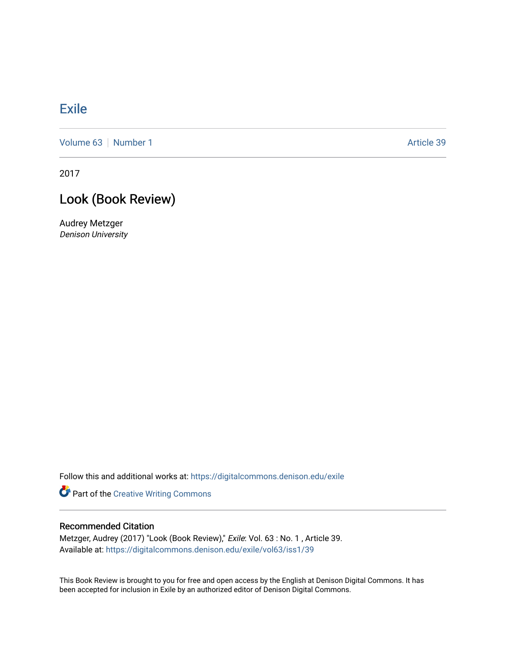## [Exile](https://digitalcommons.denison.edu/exile)

[Volume 63](https://digitalcommons.denison.edu/exile/vol63) [Number 1](https://digitalcommons.denison.edu/exile/vol63/iss1) Article 39

2017

# Look (Book Review)

Audrey Metzger Denison University

Follow this and additional works at: [https://digitalcommons.denison.edu/exile](https://digitalcommons.denison.edu/exile?utm_source=digitalcommons.denison.edu%2Fexile%2Fvol63%2Fiss1%2F39&utm_medium=PDF&utm_campaign=PDFCoverPages) 

Part of the [Creative Writing Commons](http://network.bepress.com/hgg/discipline/574?utm_source=digitalcommons.denison.edu%2Fexile%2Fvol63%2Fiss1%2F39&utm_medium=PDF&utm_campaign=PDFCoverPages) 

### Recommended Citation

Metzger, Audrey (2017) "Look (Book Review)," Exile: Vol. 63 : No. 1 , Article 39. Available at: [https://digitalcommons.denison.edu/exile/vol63/iss1/39](https://digitalcommons.denison.edu/exile/vol63/iss1/39?utm_source=digitalcommons.denison.edu%2Fexile%2Fvol63%2Fiss1%2F39&utm_medium=PDF&utm_campaign=PDFCoverPages)

This Book Review is brought to you for free and open access by the English at Denison Digital Commons. It has been accepted for inclusion in Exile by an authorized editor of Denison Digital Commons.